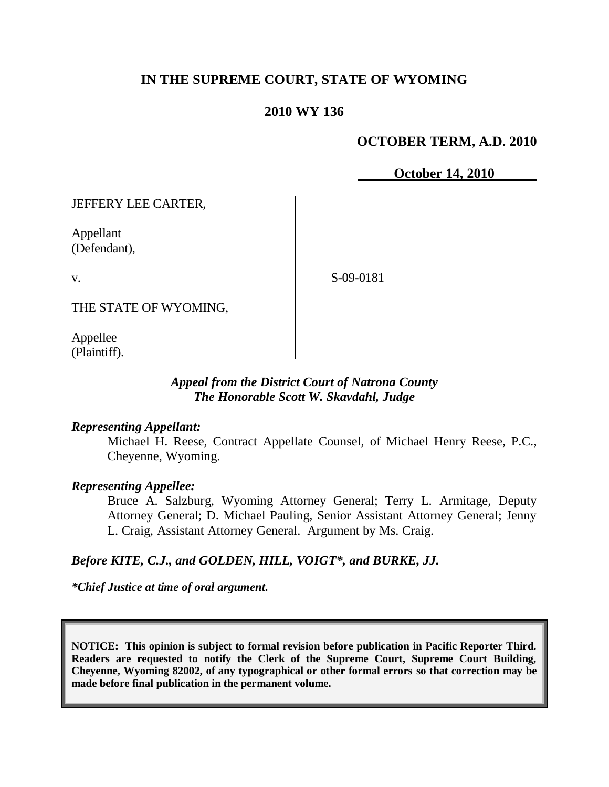# **IN THE SUPREME COURT, STATE OF WYOMING**

# **2010 WY 136**

# **OCTOBER TERM, A.D. 2010**

**October 14, 2010**

JEFFERY LEE CARTER,

Appellant (Defendant),

v.

S-09-0181

THE STATE OF WYOMING,

Appellee (Plaintiff).

## *Appeal from the District Court of Natrona County The Honorable Scott W. Skavdahl, Judge*

#### *Representing Appellant:*

Michael H. Reese, Contract Appellate Counsel, of Michael Henry Reese, P.C., Cheyenne, Wyoming.

## *Representing Appellee:*

Bruce A. Salzburg, Wyoming Attorney General; Terry L. Armitage, Deputy Attorney General; D. Michael Pauling, Senior Assistant Attorney General; Jenny L. Craig, Assistant Attorney General. Argument by Ms. Craig.

## *Before KITE, C.J., and GOLDEN, HILL, VOIGT\*, and BURKE, JJ.*

*\*Chief Justice at time of oral argument.*

**NOTICE: This opinion is subject to formal revision before publication in Pacific Reporter Third. Readers are requested to notify the Clerk of the Supreme Court, Supreme Court Building, Cheyenne, Wyoming 82002, of any typographical or other formal errors so that correction may be made before final publication in the permanent volume.**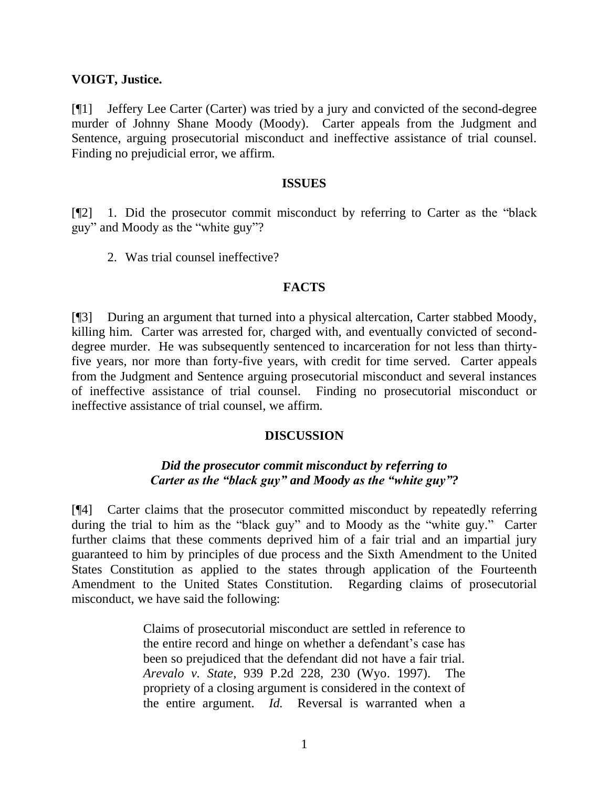#### **VOIGT, Justice.**

[¶1] Jeffery Lee Carter (Carter) was tried by a jury and convicted of the second-degree murder of Johnny Shane Moody (Moody). Carter appeals from the Judgment and Sentence, arguing prosecutorial misconduct and ineffective assistance of trial counsel. Finding no prejudicial error, we affirm.

#### **ISSUES**

[¶2] 1. Did the prosecutor commit misconduct by referring to Carter as the "black guy" and Moody as the "white guy"?

2. Was trial counsel ineffective?

#### **FACTS**

[¶3] During an argument that turned into a physical altercation, Carter stabbed Moody, killing him. Carter was arrested for, charged with, and eventually convicted of seconddegree murder. He was subsequently sentenced to incarceration for not less than thirtyfive years, nor more than forty-five years, with credit for time served. Carter appeals from the Judgment and Sentence arguing prosecutorial misconduct and several instances of ineffective assistance of trial counsel. Finding no prosecutorial misconduct or ineffective assistance of trial counsel, we affirm.

## **DISCUSSION**

# *Did the prosecutor commit misconduct by referring to Carter as the "black guy" and Moody as the "white guy"?*

[¶4] Carter claims that the prosecutor committed misconduct by repeatedly referring during the trial to him as the "black guy" and to Moody as the "white guy." Carter further claims that these comments deprived him of a fair trial and an impartial jury guaranteed to him by principles of due process and the Sixth Amendment to the United States Constitution as applied to the states through application of the Fourteenth Amendment to the United States Constitution. Regarding claims of prosecutorial misconduct, we have said the following:

> Claims of prosecutorial misconduct are settled in reference to the entire record and hinge on whether a defendant's case has been so prejudiced that the defendant did not have a fair trial. *Arevalo v. State*, 939 P.2d 228, 230 (Wyo. 1997). The propriety of a closing argument is considered in the context of the entire argument. *Id.* Reversal is warranted when a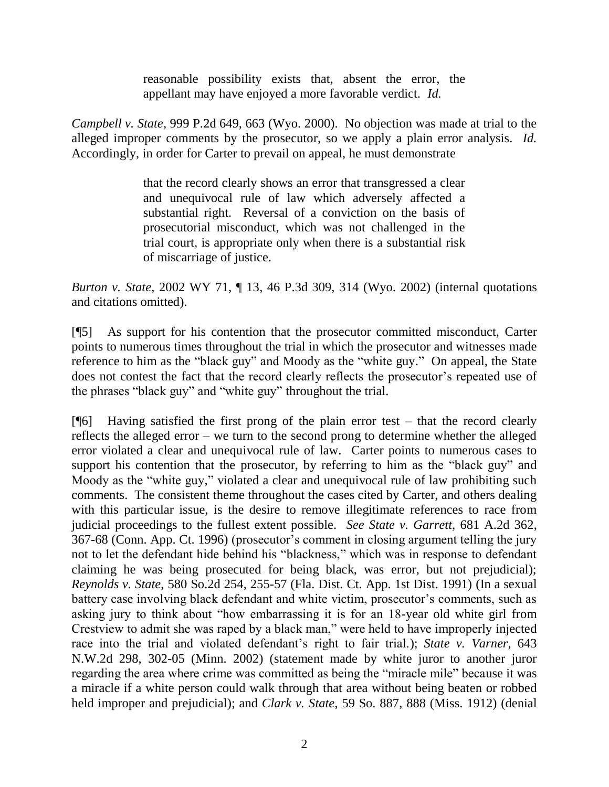reasonable possibility exists that, absent the error, the appellant may have enjoyed a more favorable verdict. *Id.*

*Campbell v. State*, 999 P.2d 649, 663 (Wyo. 2000). No objection was made at trial to the alleged improper comments by the prosecutor, so we apply a plain error analysis. *Id.* Accordingly, in order for Carter to prevail on appeal, he must demonstrate

> that the record clearly shows an error that transgressed a clear and unequivocal rule of law which adversely affected a substantial right. Reversal of a conviction on the basis of prosecutorial misconduct, which was not challenged in the trial court, is appropriate only when there is a substantial risk of miscarriage of justice.

*Burton v. State*, 2002 WY 71, ¶ 13, 46 P.3d 309, 314 (Wyo. 2002) (internal quotations and citations omitted).

[¶5] As support for his contention that the prosecutor committed misconduct, Carter points to numerous times throughout the trial in which the prosecutor and witnesses made reference to him as the "black guy" and Moody as the "white guy." On appeal, the State does not contest the fact that the record clearly reflects the prosecutor's repeated use of the phrases "black guy" and "white guy" throughout the trial.

 $[$ [6] Having satisfied the first prong of the plain error test – that the record clearly reflects the alleged error – we turn to the second prong to determine whether the alleged error violated a clear and unequivocal rule of law. Carter points to numerous cases to support his contention that the prosecutor, by referring to him as the "black guy" and Moody as the "white guy," violated a clear and unequivocal rule of law prohibiting such comments. The consistent theme throughout the cases cited by Carter, and others dealing with this particular issue, is the desire to remove illegitimate references to race from judicial proceedings to the fullest extent possible. *See State v. Garrett*, 681 A.2d 362, 367-68 (Conn. App. Ct. 1996) (prosecutor"s comment in closing argument telling the jury not to let the defendant hide behind his "blackness," which was in response to defendant claiming he was being prosecuted for being black, was error, but not prejudicial); *Reynolds v. State*, 580 So.2d 254, 255-57 (Fla. Dist. Ct. App. 1st Dist. 1991) (In a sexual battery case involving black defendant and white victim, prosecutor's comments, such as asking jury to think about "how embarrassing it is for an 18-year old white girl from Crestview to admit she was raped by a black man," were held to have improperly injected race into the trial and violated defendant"s right to fair trial.); *State v. Varner*, 643 N.W.2d 298, 302-05 (Minn. 2002) (statement made by white juror to another juror regarding the area where crime was committed as being the "miracle mile" because it was a miracle if a white person could walk through that area without being beaten or robbed held improper and prejudicial); and *Clark v. State*, 59 So. 887, 888 (Miss. 1912) (denial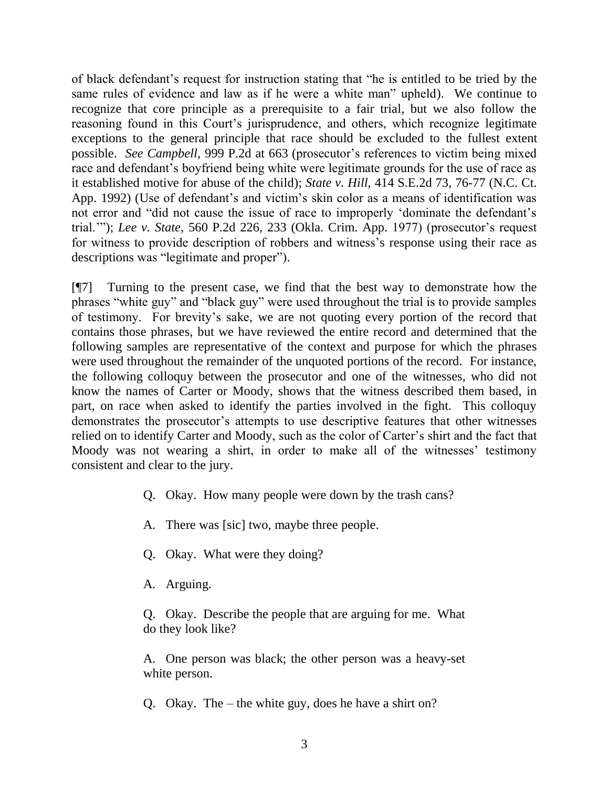of black defendant"s request for instruction stating that "he is entitled to be tried by the same rules of evidence and law as if he were a white man" upheld). We continue to recognize that core principle as a prerequisite to a fair trial, but we also follow the reasoning found in this Court's jurisprudence, and others, which recognize legitimate exceptions to the general principle that race should be excluded to the fullest extent possible. *See Campbell*, 999 P.2d at 663 (prosecutor's references to victim being mixed race and defendant's boyfriend being white were legitimate grounds for the use of race as it established motive for abuse of the child); *State v. Hill*, 414 S.E.2d 73, 76-77 (N.C. Ct. App. 1992) (Use of defendant's and victim's skin color as a means of identification was not error and "did not cause the issue of race to improperly "dominate the defendant"s trial.""); *Lee v. State*, 560 P.2d 226, 233 (Okla. Crim. App. 1977) (prosecutor"s request for witness to provide description of robbers and witness"s response using their race as descriptions was "legitimate and proper").

[¶7] Turning to the present case, we find that the best way to demonstrate how the phrases "white guy" and "black guy" were used throughout the trial is to provide samples of testimony. For brevity"s sake, we are not quoting every portion of the record that contains those phrases, but we have reviewed the entire record and determined that the following samples are representative of the context and purpose for which the phrases were used throughout the remainder of the unquoted portions of the record. For instance, the following colloquy between the prosecutor and one of the witnesses, who did not know the names of Carter or Moody, shows that the witness described them based, in part, on race when asked to identify the parties involved in the fight. This colloquy demonstrates the prosecutor's attempts to use descriptive features that other witnesses relied on to identify Carter and Moody, such as the color of Carter"s shirt and the fact that Moody was not wearing a shirt, in order to make all of the witnesses' testimony consistent and clear to the jury.

- Q. Okay. How many people were down by the trash cans?
- A. There was [sic] two, maybe three people.
- Q. Okay. What were they doing?
- A. Arguing.

Q. Okay. Describe the people that are arguing for me. What do they look like?

A. One person was black; the other person was a heavy-set white person.

Q. Okay. The – the white guy, does he have a shirt on?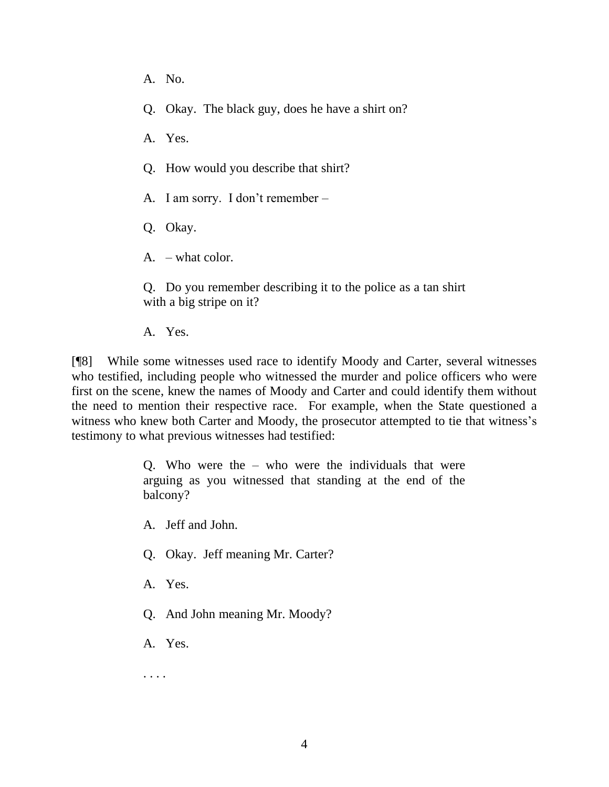- A. No.
- Q. Okay. The black guy, does he have a shirt on?
- A. Yes.
- Q. How would you describe that shirt?
- A. I am sorry. I don"t remember –
- Q. Okay.
- A. what color.

Q. Do you remember describing it to the police as a tan shirt with a big stripe on it?

A. Yes.

[¶8] While some witnesses used race to identify Moody and Carter, several witnesses who testified, including people who witnessed the murder and police officers who were first on the scene, knew the names of Moody and Carter and could identify them without the need to mention their respective race. For example, when the State questioned a witness who knew both Carter and Moody, the prosecutor attempted to tie that witness's testimony to what previous witnesses had testified:

> Q. Who were the – who were the individuals that were arguing as you witnessed that standing at the end of the balcony?

A. Jeff and John.

- Q. Okay. Jeff meaning Mr. Carter?
- A. Yes.
- Q. And John meaning Mr. Moody?
- A. Yes.

. . . .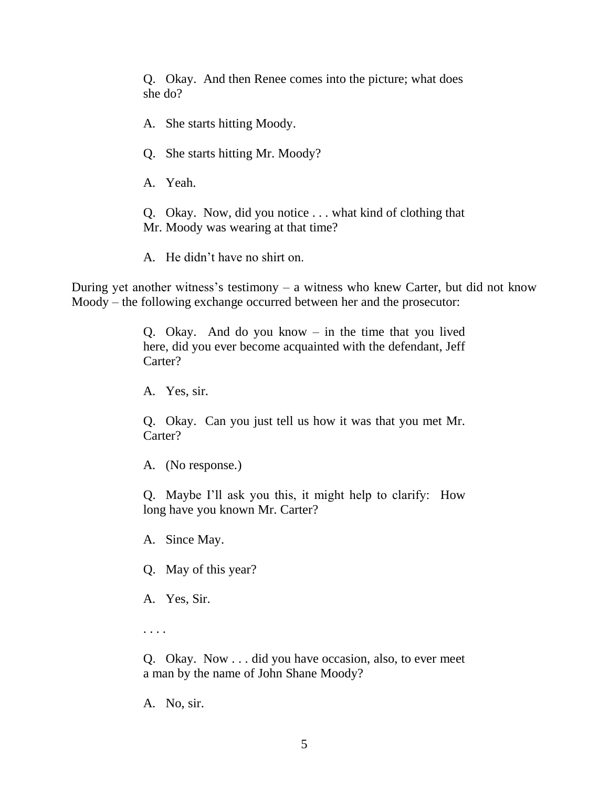Q. Okay. And then Renee comes into the picture; what does she do?

A. She starts hitting Moody.

Q. She starts hitting Mr. Moody?

A. Yeah.

Q. Okay. Now, did you notice . . . what kind of clothing that Mr. Moody was wearing at that time?

A. He didn"t have no shirt on.

During yet another witness's testimony  $-$  a witness who knew Carter, but did not know Moody – the following exchange occurred between her and the prosecutor:

> Q. Okay. And do you know – in the time that you lived here, did you ever become acquainted with the defendant, Jeff Carter?

A. Yes, sir.

Q. Okay. Can you just tell us how it was that you met Mr. Carter?

A. (No response.)

Q. Maybe I"ll ask you this, it might help to clarify: How long have you known Mr. Carter?

A. Since May.

Q. May of this year?

A. Yes, Sir.

. . . .

Q. Okay. Now . . . did you have occasion, also, to ever meet a man by the name of John Shane Moody?

A. No, sir.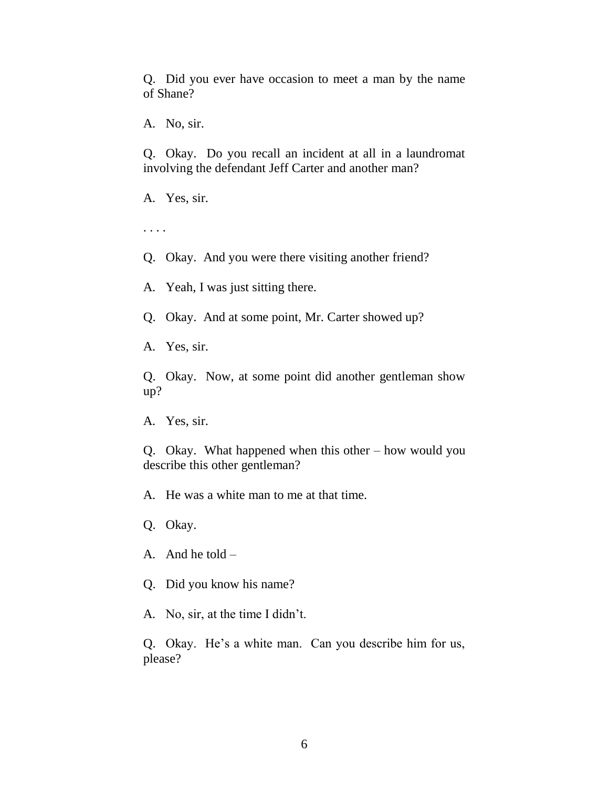Q. Did you ever have occasion to meet a man by the name of Shane?

A. No, sir.

Q. Okay. Do you recall an incident at all in a laundromat involving the defendant Jeff Carter and another man?

A. Yes, sir.

. . . .

Q. Okay. And you were there visiting another friend?

A. Yeah, I was just sitting there.

Q. Okay. And at some point, Mr. Carter showed up?

A. Yes, sir.

Q. Okay. Now, at some point did another gentleman show up?

A. Yes, sir.

Q. Okay. What happened when this other – how would you describe this other gentleman?

A. He was a white man to me at that time.

Q. Okay.

A. And he told –

Q. Did you know his name?

A. No, sir, at the time I didn"t.

Q. Okay. He's a white man. Can you describe him for us, please?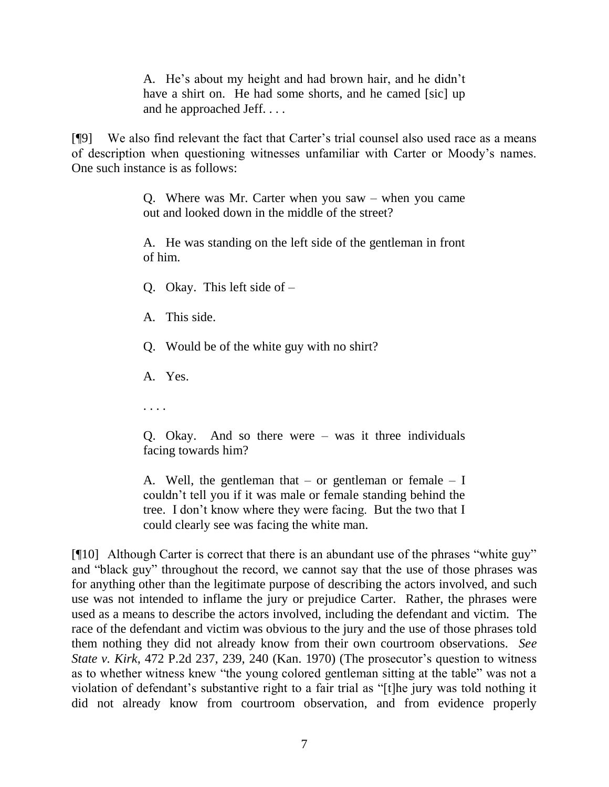A. He"s about my height and had brown hair, and he didn"t have a shirt on. He had some shorts, and he camed [sic] up and he approached Jeff. . . .

[¶9] We also find relevant the fact that Carter"s trial counsel also used race as a means of description when questioning witnesses unfamiliar with Carter or Moody"s names. One such instance is as follows:

> Q. Where was Mr. Carter when you saw – when you came out and looked down in the middle of the street?

> A. He was standing on the left side of the gentleman in front of him.

Q. Okay. This left side of –

A. This side.

Q. Would be of the white guy with no shirt?

A. Yes.

. . . .

Q. Okay. And so there were – was it three individuals facing towards him?

A. Well, the gentleman that  $-$  or gentleman or female  $-$  I couldn"t tell you if it was male or female standing behind the tree. I don"t know where they were facing. But the two that I could clearly see was facing the white man.

[¶10] Although Carter is correct that there is an abundant use of the phrases "white guy" and "black guy" throughout the record, we cannot say that the use of those phrases was for anything other than the legitimate purpose of describing the actors involved, and such use was not intended to inflame the jury or prejudice Carter. Rather, the phrases were used as a means to describe the actors involved, including the defendant and victim. The race of the defendant and victim was obvious to the jury and the use of those phrases told them nothing they did not already know from their own courtroom observations. *See State v. Kirk*, 472 P.2d 237, 239, 240 (Kan. 1970) (The prosecutor's question to witness as to whether witness knew "the young colored gentleman sitting at the table" was not a violation of defendant's substantive right to a fair trial as "[t]he jury was told nothing it did not already know from courtroom observation, and from evidence properly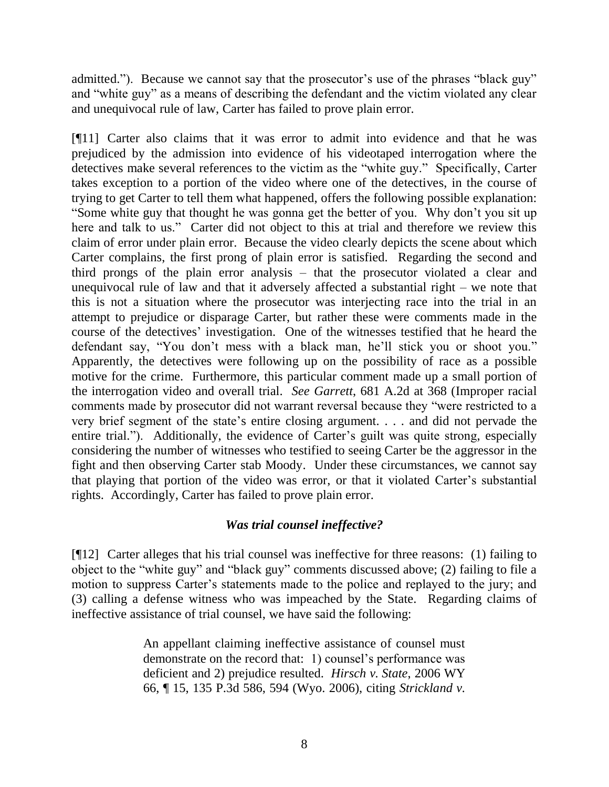admitted."). Because we cannot say that the prosecutor's use of the phrases "black guy" and "white guy" as a means of describing the defendant and the victim violated any clear and unequivocal rule of law, Carter has failed to prove plain error.

[¶11] Carter also claims that it was error to admit into evidence and that he was prejudiced by the admission into evidence of his videotaped interrogation where the detectives make several references to the victim as the "white guy." Specifically, Carter takes exception to a portion of the video where one of the detectives, in the course of trying to get Carter to tell them what happened, offers the following possible explanation: "Some white guy that thought he was gonna get the better of you. Why don"t you sit up here and talk to us." Carter did not object to this at trial and therefore we review this claim of error under plain error. Because the video clearly depicts the scene about which Carter complains, the first prong of plain error is satisfied. Regarding the second and third prongs of the plain error analysis – that the prosecutor violated a clear and unequivocal rule of law and that it adversely affected a substantial right – we note that this is not a situation where the prosecutor was interjecting race into the trial in an attempt to prejudice or disparage Carter, but rather these were comments made in the course of the detectives" investigation. One of the witnesses testified that he heard the defendant say, "You don't mess with a black man, he'll stick you or shoot you." Apparently, the detectives were following up on the possibility of race as a possible motive for the crime. Furthermore, this particular comment made up a small portion of the interrogation video and overall trial. *See Garrett*, 681 A.2d at 368 (Improper racial comments made by prosecutor did not warrant reversal because they "were restricted to a very brief segment of the state"s entire closing argument. . . . and did not pervade the entire trial."). Additionally, the evidence of Carter's guilt was quite strong, especially considering the number of witnesses who testified to seeing Carter be the aggressor in the fight and then observing Carter stab Moody. Under these circumstances, we cannot say that playing that portion of the video was error, or that it violated Carter"s substantial rights. Accordingly, Carter has failed to prove plain error.

# *Was trial counsel ineffective?*

[¶12] Carter alleges that his trial counsel was ineffective for three reasons: (1) failing to object to the "white guy" and "black guy" comments discussed above; (2) failing to file a motion to suppress Carter's statements made to the police and replayed to the jury; and (3) calling a defense witness who was impeached by the State. Regarding claims of ineffective assistance of trial counsel, we have said the following:

> An appellant claiming ineffective assistance of counsel must demonstrate on the record that: 1) counsel's performance was deficient and 2) prejudice resulted. *Hirsch v. State*, 2006 WY 66, ¶ 15, 135 P.3d 586, 594 (Wyo. 2006), citing *Strickland v.*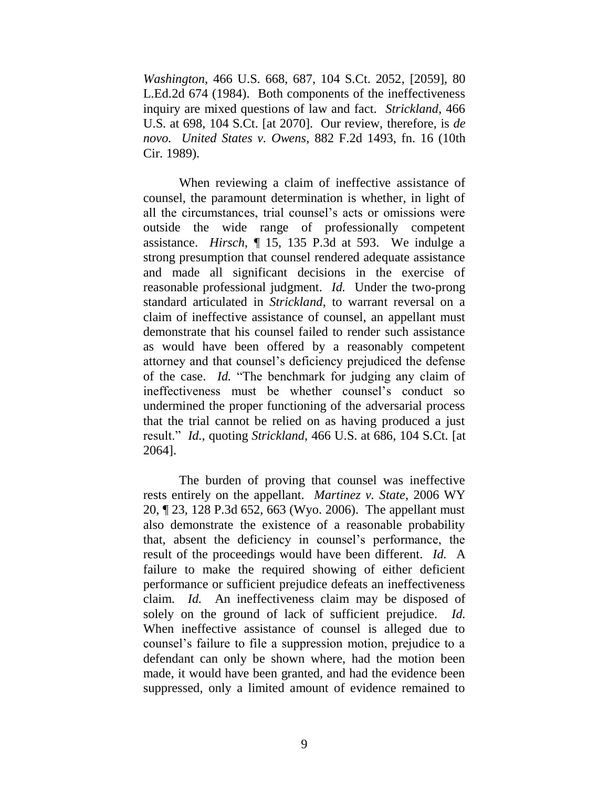*Washington*, 466 U.S. 668, 687, 104 S.Ct. 2052, [2059], 80 L.Ed.2d 674 (1984). Both components of the ineffectiveness inquiry are mixed questions of law and fact. *Strickland*, 466 U.S. at 698, 104 S.Ct. [at 2070]. Our review, therefore, is *de novo. United States v. Owens*, 882 F.2d 1493, fn. 16 (10th Cir. 1989).

When reviewing a claim of ineffective assistance of counsel, the paramount determination is whether, in light of all the circumstances, trial counsel"s acts or omissions were outside the wide range of professionally competent assistance. *Hirsch*, ¶ 15, 135 P.3d at 593. We indulge a strong presumption that counsel rendered adequate assistance and made all significant decisions in the exercise of reasonable professional judgment. *Id.* Under the two-prong standard articulated in *Strickland*, to warrant reversal on a claim of ineffective assistance of counsel, an appellant must demonstrate that his counsel failed to render such assistance as would have been offered by a reasonably competent attorney and that counsel"s deficiency prejudiced the defense of the case. *Id.* "The benchmark for judging any claim of ineffectiveness must be whether counsel"s conduct so undermined the proper functioning of the adversarial process that the trial cannot be relied on as having produced a just result." *Id.*, quoting *Strickland*, 466 U.S. at 686, 104 S.Ct. [at 2064].

The burden of proving that counsel was ineffective rests entirely on the appellant. *Martinez v. State*, 2006 WY 20, ¶ 23, 128 P.3d 652, 663 (Wyo. 2006). The appellant must also demonstrate the existence of a reasonable probability that, absent the deficiency in counsel"s performance, the result of the proceedings would have been different. *Id.* A failure to make the required showing of either deficient performance or sufficient prejudice defeats an ineffectiveness claim. *Id.* An ineffectiveness claim may be disposed of solely on the ground of lack of sufficient prejudice. *Id.* When ineffective assistance of counsel is alleged due to counsel"s failure to file a suppression motion, prejudice to a defendant can only be shown where, had the motion been made, it would have been granted, and had the evidence been suppressed, only a limited amount of evidence remained to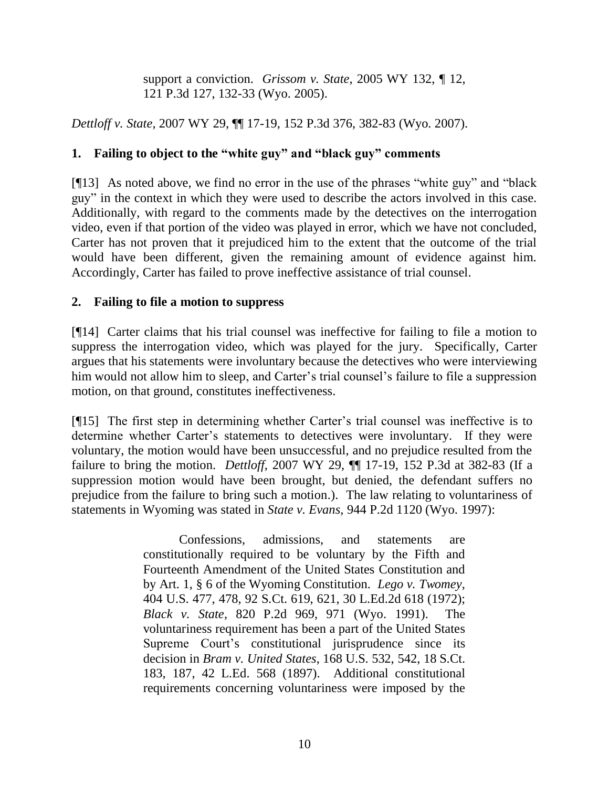support a conviction. *Grissom v. State*, 2005 WY 132, ¶ 12, 121 P.3d 127, 132-33 (Wyo. 2005).

*Dettloff v. State*, 2007 WY 29, ¶¶ 17-19, 152 P.3d 376, 382-83 (Wyo. 2007).

# **1. Failing to object to the "white guy" and "black guy" comments**

[¶13] As noted above, we find no error in the use of the phrases "white guy" and "black guy" in the context in which they were used to describe the actors involved in this case. Additionally, with regard to the comments made by the detectives on the interrogation video, even if that portion of the video was played in error, which we have not concluded, Carter has not proven that it prejudiced him to the extent that the outcome of the trial would have been different, given the remaining amount of evidence against him. Accordingly, Carter has failed to prove ineffective assistance of trial counsel.

# **2. Failing to file a motion to suppress**

[¶14] Carter claims that his trial counsel was ineffective for failing to file a motion to suppress the interrogation video, which was played for the jury. Specifically, Carter argues that his statements were involuntary because the detectives who were interviewing him would not allow him to sleep, and Carter's trial counsel's failure to file a suppression motion, on that ground, constitutes ineffectiveness.

[¶15] The first step in determining whether Carter's trial counsel was ineffective is to determine whether Carter's statements to detectives were involuntary. If they were voluntary, the motion would have been unsuccessful, and no prejudice resulted from the failure to bring the motion. *Dettloff*, 2007 WY 29, ¶¶ 17-19, 152 P.3d at 382-83 (If a suppression motion would have been brought, but denied, the defendant suffers no prejudice from the failure to bring such a motion.). The law relating to voluntariness of statements in Wyoming was stated in *State v. Evans*, 944 P.2d 1120 (Wyo. 1997):

> Confessions, admissions, and statements are constitutionally required to be voluntary by the Fifth and Fourteenth Amendment of the United States Constitution and by Art. 1, § 6 of the Wyoming Constitution. *Lego v. Twomey*, 404 U.S. 477, 478, 92 S.Ct. 619, 621, 30 L.Ed.2d 618 (1972); *Black v. State*, 820 P.2d 969, 971 (Wyo. 1991). The voluntariness requirement has been a part of the United States Supreme Court's constitutional jurisprudence since its decision in *Bram v. United States*, 168 U.S. 532, 542, 18 S.Ct. 183, 187, 42 L.Ed. 568 (1897). Additional constitutional requirements concerning voluntariness were imposed by the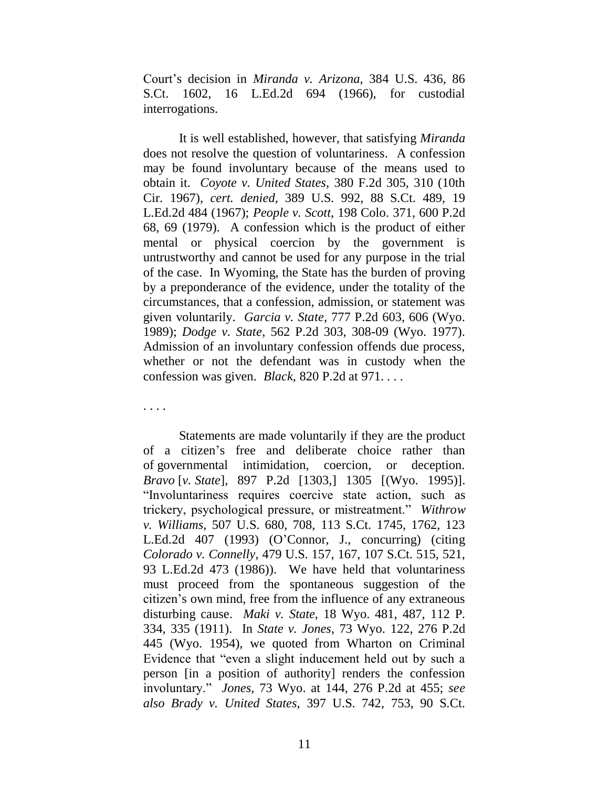Court"s decision in *Miranda v. Arizona*, 384 U.S. 436, 86 S.Ct. 1602, 16 L.Ed.2d 694 (1966), for custodial interrogations.

It is well established, however, that satisfying *Miranda* does not resolve the question of voluntariness. A confession may be found involuntary because of the means used to obtain it. *Coyote v. United States*, 380 F.2d 305, 310 (10th Cir. 1967), *cert. denied*, 389 U.S. 992, 88 S.Ct. 489, 19 L.Ed.2d 484 (1967); *People v. Scott*, 198 Colo. 371, 600 P.2d 68, 69 (1979). A confession which is the product of either mental or physical coercion by the government is untrustworthy and cannot be used for any purpose in the trial of the case. In Wyoming, the State has the burden of proving by a preponderance of the evidence, under the totality of the circumstances, that a confession, admission, or statement was given voluntarily. *Garcia v. State*, 777 P.2d 603, 606 (Wyo. 1989); *Dodge v. State*, 562 P.2d 303, 308-09 (Wyo. 1977). Admission of an involuntary confession offends due process, whether or not the defendant was in custody when the confession was given. *Black*, 820 P.2d at 971. . . .

. . . .

Statements are made voluntarily if they are the product of a citizen"s free and deliberate choice rather than of governmental intimidation, coercion, or deception. *Bravo* [*v. State*], 897 P.2d [1303,] 1305 [(Wyo. 1995)]. "Involuntariness requires coercive state action, such as trickery, psychological pressure, or mistreatment." *Withrow v. Williams*, 507 U.S. 680, 708, 113 S.Ct. 1745, 1762, 123 L.Ed.2d 407 (1993) (O"Connor, J., concurring) (citing *Colorado v. Connelly*, 479 U.S. 157, 167, 107 S.Ct. 515, 521, 93 L.Ed.2d 473 (1986)). We have held that voluntariness must proceed from the spontaneous suggestion of the citizen"s own mind, free from the influence of any extraneous disturbing cause. *Maki v. State*, 18 Wyo. 481, 487, 112 P. 334, 335 (1911). In *State v. Jones*, 73 Wyo. 122, 276 P.2d 445 (Wyo. 1954), we quoted from Wharton on Criminal Evidence that "even a slight inducement held out by such a person [in a position of authority] renders the confession involuntary." *Jones*, 73 Wyo. at 144, 276 P.2d at 455; *see also Brady v. United States*, 397 U.S. 742, 753, 90 S.Ct.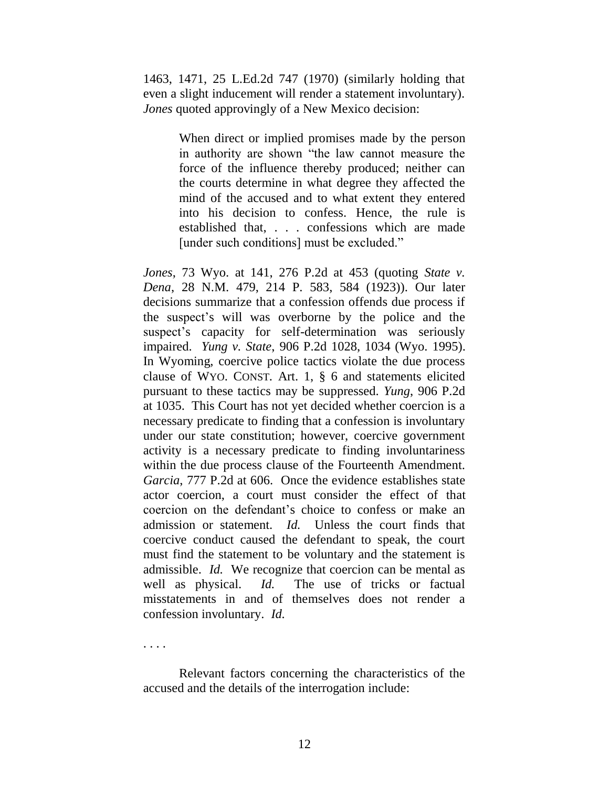1463, 1471, 25 L.Ed.2d 747 (1970) (similarly holding that even a slight inducement will render a statement involuntary). *Jones* quoted approvingly of a New Mexico decision:

> When direct or implied promises made by the person in authority are shown "the law cannot measure the force of the influence thereby produced; neither can the courts determine in what degree they affected the mind of the accused and to what extent they entered into his decision to confess. Hence, the rule is established that, . . . confessions which are made [under such conditions] must be excluded."

*Jones*, 73 Wyo. at 141, 276 P.2d at 453 (quoting *State v. Dena*, 28 N.M. 479, 214 P. 583, 584 (1923)). Our later decisions summarize that a confession offends due process if the suspect"s will was overborne by the police and the suspect's capacity for self-determination was seriously impaired. *Yung v. State*, 906 P.2d 1028, 1034 (Wyo. 1995). In Wyoming, coercive police tactics violate the due process clause of WYO. CONST. Art. 1, § 6 and statements elicited pursuant to these tactics may be suppressed. *Yung*, 906 P.2d at 1035. This Court has not yet decided whether coercion is a necessary predicate to finding that a confession is involuntary under our state constitution; however, coercive government activity is a necessary predicate to finding involuntariness within the due process clause of the Fourteenth Amendment. *Garcia*, 777 P.2d at 606. Once the evidence establishes state actor coercion, a court must consider the effect of that coercion on the defendant"s choice to confess or make an admission or statement. *Id.* Unless the court finds that coercive conduct caused the defendant to speak, the court must find the statement to be voluntary and the statement is admissible. *Id.* We recognize that coercion can be mental as well as physical. *Id.* The use of tricks or factual misstatements in and of themselves does not render a confession involuntary. *Id.*

. . . .

Relevant factors concerning the characteristics of the accused and the details of the interrogation include: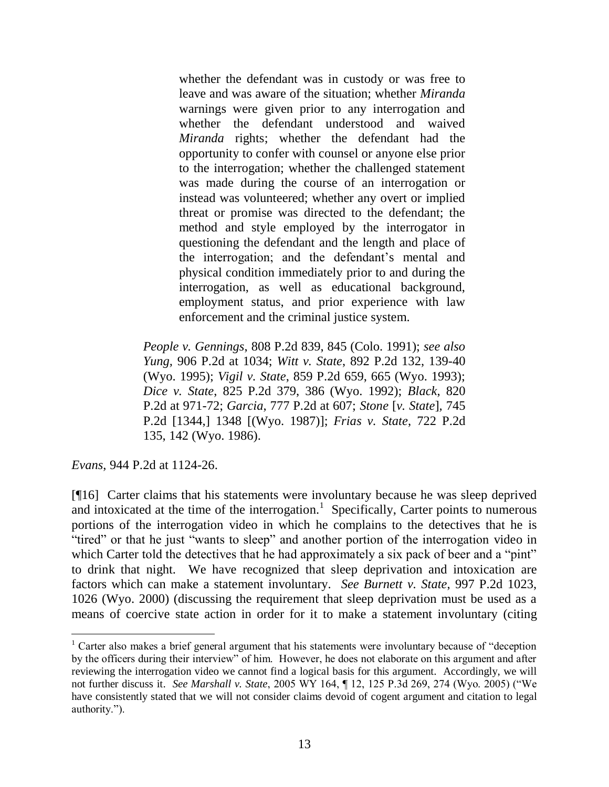whether the defendant was in custody or was free to leave and was aware of the situation; whether *Miranda* warnings were given prior to any interrogation and whether the defendant understood and waived *Miranda* rights; whether the defendant had the opportunity to confer with counsel or anyone else prior to the interrogation; whether the challenged statement was made during the course of an interrogation or instead was volunteered; whether any overt or implied threat or promise was directed to the defendant; the method and style employed by the interrogator in questioning the defendant and the length and place of the interrogation; and the defendant"s mental and physical condition immediately prior to and during the interrogation, as well as educational background, employment status, and prior experience with law enforcement and the criminal justice system.

*People v. Gennings*, 808 P.2d 839, 845 (Colo. 1991); *see also Yung,* 906 P.2d at 1034; *Witt v. State*, 892 P.2d 132, 139-40 (Wyo. 1995); *Vigil v. State*, 859 P.2d 659, 665 (Wyo. 1993); *Dice v. State*, 825 P.2d 379, 386 (Wyo. 1992); *Black*, 820 P.2d at 971-72; *Garcia*, 777 P.2d at 607; *Stone* [*v. State*]*,* 745 P.2d [1344,] 1348 [(Wyo. 1987)]; *Frias v. State*, 722 P.2d 135, 142 (Wyo. 1986).

*Evans*, 944 P.2d at 1124-26.

[¶16] Carter claims that his statements were involuntary because he was sleep deprived and intoxicated at the time of the interrogation.<sup>1</sup> Specifically, Carter points to numerous portions of the interrogation video in which he complains to the detectives that he is "tired" or that he just "wants to sleep" and another portion of the interrogation video in which Carter told the detectives that he had approximately a six pack of beer and a "pint" to drink that night. We have recognized that sleep deprivation and intoxication are factors which can make a statement involuntary. *See Burnett v. State*, 997 P.2d 1023, 1026 (Wyo. 2000) (discussing the requirement that sleep deprivation must be used as a means of coercive state action in order for it to make a statement involuntary (citing

<sup>&</sup>lt;sup>1</sup> Carter also makes a brief general argument that his statements were involuntary because of "deception" by the officers during their interview" of him. However, he does not elaborate on this argument and after reviewing the interrogation video we cannot find a logical basis for this argument. Accordingly, we will not further discuss it. *See Marshall v. State*, 2005 WY 164, ¶ 12, 125 P.3d 269, 274 (Wyo. 2005) ("We have consistently stated that we will not consider claims devoid of cogent argument and citation to legal authority.").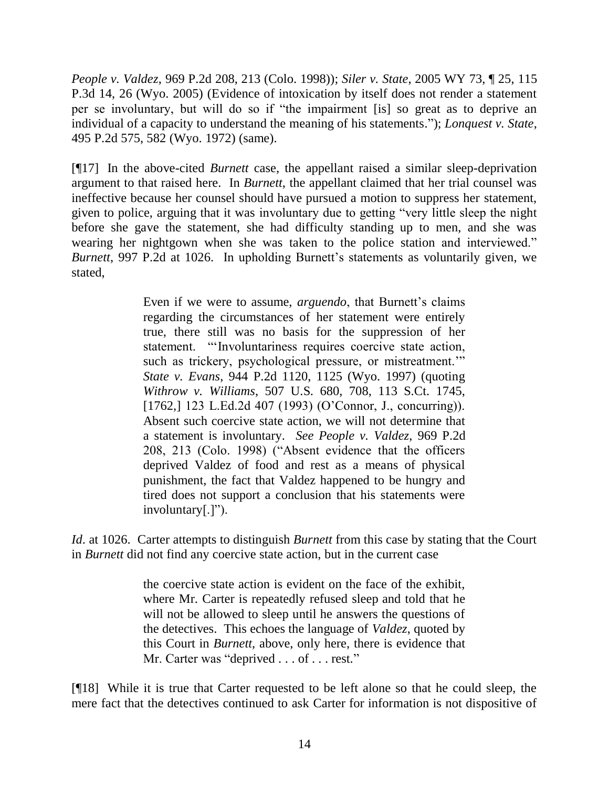*People v. Valdez*, 969 P.2d 208, 213 (Colo. 1998)); *Siler v. State*, 2005 WY 73, ¶ 25, 115 P.3d 14, 26 (Wyo. 2005) (Evidence of intoxication by itself does not render a statement per se involuntary, but will do so if "the impairment [is] so great as to deprive an individual of a capacity to understand the meaning of his statements."); *Lonquest v. State*, 495 P.2d 575, 582 (Wyo. 1972) (same).

[¶17] In the above-cited *Burnett* case, the appellant raised a similar sleep-deprivation argument to that raised here. In *Burnett*, the appellant claimed that her trial counsel was ineffective because her counsel should have pursued a motion to suppress her statement, given to police, arguing that it was involuntary due to getting "very little sleep the night before she gave the statement, she had difficulty standing up to men, and she was wearing her nightgown when she was taken to the police station and interviewed." *Burnett*, 997 P.2d at 1026. In upholding Burnett's statements as voluntarily given, we stated,

> Even if we were to assume, *arguendo*, that Burnett's claims regarding the circumstances of her statement were entirely true, there still was no basis for the suppression of her statement. ""Involuntariness requires coercive state action, such as trickery, psychological pressure, or mistreatment."" *State v. Evans*, 944 P.2d 1120, 1125 (Wyo. 1997) (quoting *Withrow v. Williams*, 507 U.S. 680, 708, 113 S.Ct. 1745, [1762,] 123 L.Ed.2d 407 (1993) (O'Connor, J., concurring)). Absent such coercive state action, we will not determine that a statement is involuntary. *See People v. Valdez*, 969 P.2d 208, 213 (Colo. 1998) ("Absent evidence that the officers deprived Valdez of food and rest as a means of physical punishment, the fact that Valdez happened to be hungry and tired does not support a conclusion that his statements were involuntary[.]").

*Id*. at 1026. Carter attempts to distinguish *Burnett* from this case by stating that the Court in *Burnett* did not find any coercive state action, but in the current case

> the coercive state action is evident on the face of the exhibit, where Mr. Carter is repeatedly refused sleep and told that he will not be allowed to sleep until he answers the questions of the detectives. This echoes the language of *Valdez*, quoted by this Court in *Burnett*, above, only here, there is evidence that Mr. Carter was "deprived . . . of . . . rest."

[¶18] While it is true that Carter requested to be left alone so that he could sleep, the mere fact that the detectives continued to ask Carter for information is not dispositive of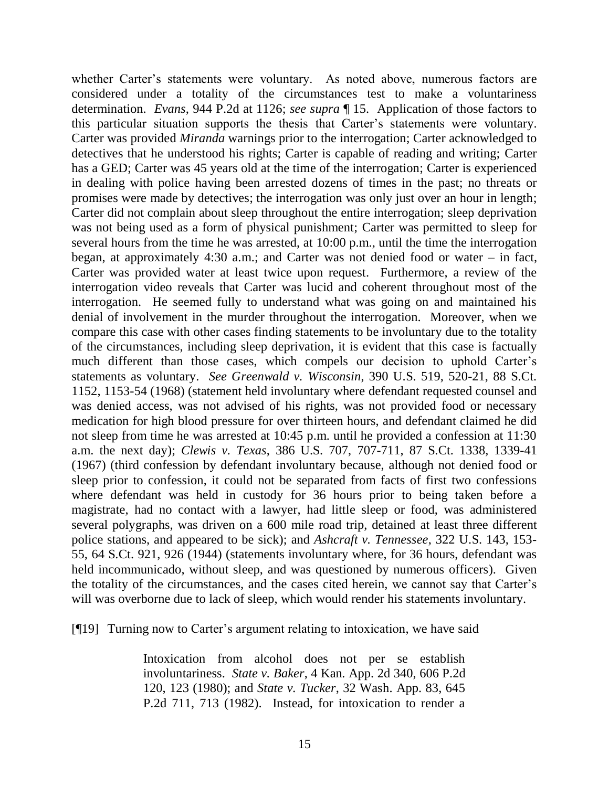whether Carter's statements were voluntary. As noted above, numerous factors are considered under a totality of the circumstances test to make a voluntariness determination. *Evans*, 944 P.2d at 1126; *see supra* ¶ 15. Application of those factors to this particular situation supports the thesis that Carter"s statements were voluntary. Carter was provided *Miranda* warnings prior to the interrogation; Carter acknowledged to detectives that he understood his rights; Carter is capable of reading and writing; Carter has a GED; Carter was 45 years old at the time of the interrogation; Carter is experienced in dealing with police having been arrested dozens of times in the past; no threats or promises were made by detectives; the interrogation was only just over an hour in length; Carter did not complain about sleep throughout the entire interrogation; sleep deprivation was not being used as a form of physical punishment; Carter was permitted to sleep for several hours from the time he was arrested, at 10:00 p.m., until the time the interrogation began, at approximately 4:30 a.m.; and Carter was not denied food or water – in fact, Carter was provided water at least twice upon request. Furthermore, a review of the interrogation video reveals that Carter was lucid and coherent throughout most of the interrogation. He seemed fully to understand what was going on and maintained his denial of involvement in the murder throughout the interrogation. Moreover, when we compare this case with other cases finding statements to be involuntary due to the totality of the circumstances, including sleep deprivation, it is evident that this case is factually much different than those cases, which compels our decision to uphold Carter's statements as voluntary. *See Greenwald v. Wisconsin*, 390 U.S. 519, 520-21, 88 S.Ct. 1152, 1153-54 (1968) (statement held involuntary where defendant requested counsel and was denied access, was not advised of his rights, was not provided food or necessary medication for high blood pressure for over thirteen hours, and defendant claimed he did not sleep from time he was arrested at 10:45 p.m. until he provided a confession at 11:30 a.m. the next day); *Clewis v. Texas*, 386 U.S. 707, 707-711, 87 S.Ct. 1338, 1339-41 (1967) (third confession by defendant involuntary because, although not denied food or sleep prior to confession, it could not be separated from facts of first two confessions where defendant was held in custody for 36 hours prior to being taken before a magistrate, had no contact with a lawyer, had little sleep or food, was administered several polygraphs, was driven on a 600 mile road trip, detained at least three different police stations, and appeared to be sick); and *Ashcraft v. Tennessee*, 322 U.S. 143, 153- 55, 64 S.Ct. 921, 926 (1944) (statements involuntary where, for 36 hours, defendant was held incommunicado, without sleep, and was questioned by numerous officers). Given the totality of the circumstances, and the cases cited herein, we cannot say that Carter"s will was overborne due to lack of sleep, which would render his statements involuntary.

[¶19] Turning now to Carter's argument relating to intoxication, we have said

Intoxication from alcohol does not per se establish involuntariness. *State v. Baker*, 4 Kan. App. 2d 340, 606 P.2d 120, 123 (1980); and *State v. Tucker*, 32 Wash. App. 83, 645 P.2d 711, 713 (1982). Instead, for intoxication to render a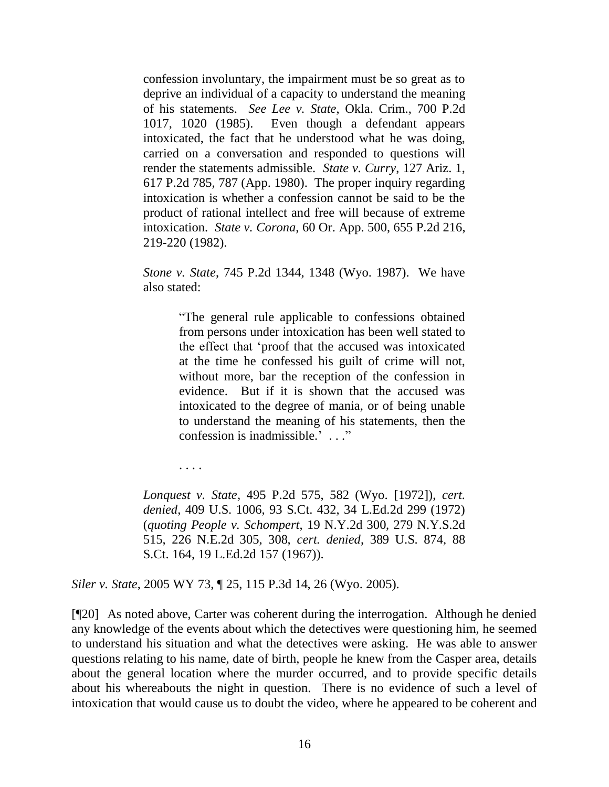confession involuntary, the impairment must be so great as to deprive an individual of a capacity to understand the meaning of his statements. *See Lee v. State*, Okla. Crim., 700 P.2d 1017, 1020 (1985). Even though a defendant appears intoxicated, the fact that he understood what he was doing, carried on a conversation and responded to questions will render the statements admissible. *State v. Curry*, 127 Ariz. 1, 617 P.2d 785, 787 (App. 1980). The proper inquiry regarding intoxication is whether a confession cannot be said to be the product of rational intellect and free will because of extreme intoxication. *State v. Corona*, 60 Or. App. 500, 655 P.2d 216, 219-220 (1982).

*Stone v. State*, 745 P.2d 1344, 1348 (Wyo. 1987). We have also stated:

> "The general rule applicable to confessions obtained from persons under intoxication has been well stated to the effect that "proof that the accused was intoxicated at the time he confessed his guilt of crime will not, without more, bar the reception of the confession in evidence. But if it is shown that the accused was intoxicated to the degree of mania, or of being unable to understand the meaning of his statements, then the confession is inadmissible." . . ."

. . . .

*Lonquest v. State,* 495 P.2d 575, 582 (Wyo. [1972]), *cert. denied*, 409 U.S. 1006, 93 S.Ct. 432, 34 L.Ed.2d 299 (1972) (*quoting People v. Schompert*, 19 N.Y.2d 300, 279 N.Y.S.2d 515, 226 N.E.2d 305, 308, *cert. denied*, 389 U.S. 874, 88 S.Ct. 164, 19 L.Ed.2d 157 (1967)).

*Siler v. State*, 2005 WY 73, ¶ 25, 115 P.3d 14, 26 (Wyo. 2005).

[¶20] As noted above, Carter was coherent during the interrogation. Although he denied any knowledge of the events about which the detectives were questioning him, he seemed to understand his situation and what the detectives were asking. He was able to answer questions relating to his name, date of birth, people he knew from the Casper area, details about the general location where the murder occurred, and to provide specific details about his whereabouts the night in question. There is no evidence of such a level of intoxication that would cause us to doubt the video, where he appeared to be coherent and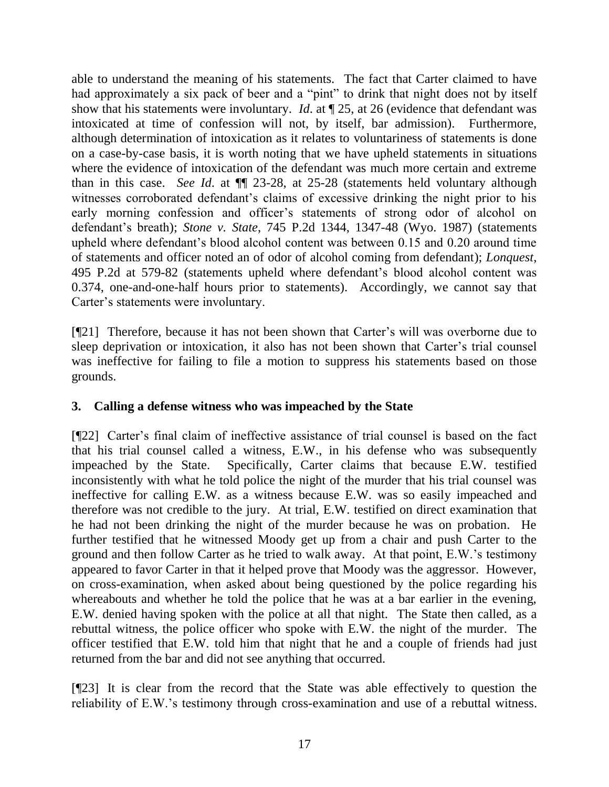able to understand the meaning of his statements. The fact that Carter claimed to have had approximately a six pack of beer and a "pint" to drink that night does not by itself show that his statements were involuntary. *Id*. at ¶ 25, at 26 (evidence that defendant was intoxicated at time of confession will not, by itself, bar admission). Furthermore, although determination of intoxication as it relates to voluntariness of statements is done on a case-by-case basis, it is worth noting that we have upheld statements in situations where the evidence of intoxication of the defendant was much more certain and extreme than in this case. *See Id*. at ¶¶ 23-28, at 25-28 (statements held voluntary although witnesses corroborated defendant's claims of excessive drinking the night prior to his early morning confession and officer"s statements of strong odor of alcohol on defendant"s breath); *Stone v. State*, 745 P.2d 1344, 1347-48 (Wyo. 1987) (statements upheld where defendant"s blood alcohol content was between 0.15 and 0.20 around time of statements and officer noted an of odor of alcohol coming from defendant); *Lonquest*, 495 P.2d at 579-82 (statements upheld where defendant"s blood alcohol content was 0.374, one-and-one-half hours prior to statements). Accordingly, we cannot say that Carter's statements were involuntary.

[¶21] Therefore, because it has not been shown that Carter"s will was overborne due to sleep deprivation or intoxication, it also has not been shown that Carter's trial counsel was ineffective for failing to file a motion to suppress his statements based on those grounds.

# **3. Calling a defense witness who was impeached by the State**

[¶22] Carter's final claim of ineffective assistance of trial counsel is based on the fact that his trial counsel called a witness, E.W., in his defense who was subsequently impeached by the State. Specifically, Carter claims that because E.W. testified inconsistently with what he told police the night of the murder that his trial counsel was ineffective for calling E.W. as a witness because E.W. was so easily impeached and therefore was not credible to the jury. At trial, E.W. testified on direct examination that he had not been drinking the night of the murder because he was on probation. He further testified that he witnessed Moody get up from a chair and push Carter to the ground and then follow Carter as he tried to walk away. At that point, E.W."s testimony appeared to favor Carter in that it helped prove that Moody was the aggressor. However, on cross-examination, when asked about being questioned by the police regarding his whereabouts and whether he told the police that he was at a bar earlier in the evening, E.W. denied having spoken with the police at all that night. The State then called, as a rebuttal witness, the police officer who spoke with E.W. the night of the murder. The officer testified that E.W. told him that night that he and a couple of friends had just returned from the bar and did not see anything that occurred.

[¶23] It is clear from the record that the State was able effectively to question the reliability of E.W."s testimony through cross-examination and use of a rebuttal witness.